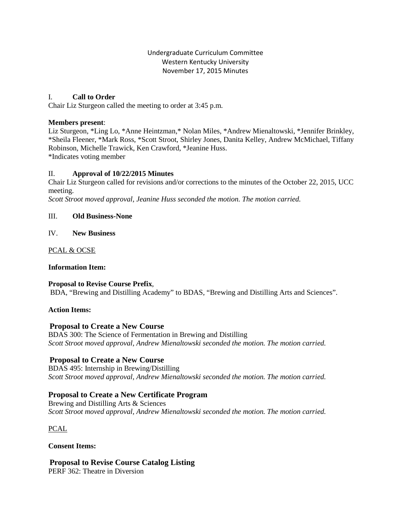Undergraduate Curriculum Committee Western Kentucky University November 17, 2015 Minutes

### I. **Call to Order**

Chair Liz Sturgeon called the meeting to order at 3:45 p.m.

### **Members present**:

Liz Sturgeon, \*Ling Lo, \*Anne Heintzman,\* Nolan Miles, \*Andrew Mienaltowski, \*Jennifer Brinkley, \*Sheila Fleener, \*Mark Ross, \*Scott Stroot, Shirley Jones, Danita Kelley, Andrew McMichael, Tiffany Robinson, Michelle Trawick, Ken Crawford, \*Jeanine Huss. \*Indicates voting member

### II. **Approval of 10/22/2015 Minutes**

Chair Liz Sturgeon called for revisions and/or corrections to the minutes of the October 22, 2015, UCC meeting.

*Scott Stroot moved approval, Jeanine Huss seconded the motion. The motion carried.*

### III. **Old Business-None**

IV. **New Business**

PCAL & OCSE

#### **Information Item:**

**Proposal to Revise Course Prefix**, BDA, "Brewing and Distilling Academy" to BDAS, "Brewing and Distilling Arts and Sciences".

#### **Action Items:**

### **Proposal to Create a New Course**

BDAS 300: The Science of Fermentation in Brewing and Distilling *Scott Stroot moved approval, Andrew Mienaltowski seconded the motion. The motion carried.*

### **Proposal to Create a New Course**

BDAS 495: Internship in Brewing/Distilling *Scott Stroot moved approval, Andrew Mienaltowski seconded the motion. The motion carried.*

### **Proposal to Create a New Certificate Program**

Brewing and Distilling Arts & Sciences *Scott Stroot moved approval, Andrew Mienaltowski seconded the motion. The motion carried.*

PCAL

**Consent Items:**

**Proposal to Revise Course Catalog Listing** PERF 362: Theatre in Diversion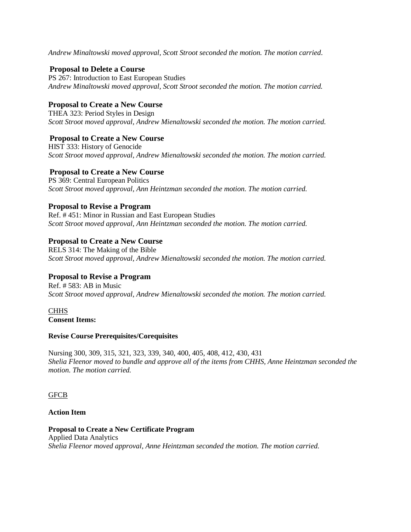*Andrew Minaltowski moved approval, Scott Stroot seconded the motion. The motion carried*.

## **Proposal to Delete a Course**

PS 267: Introduction to East European Studies *Andrew Minaltowski moved approval, Scott Stroot seconded the motion. The motion carried.*

# **Proposal to Create a New Course**

THEA 323: Period Styles in Design *Scott Stroot moved approval, Andrew Mienaltowski seconded the motion. The motion carried.*

# **Proposal to Create a New Course**

HIST 333: History of Genocide *Scott Stroot moved approval, Andrew Mienaltowski seconded the motion. The motion carried.*

## **Proposal to Create a New Course**

PS 369: Central European Politics *Scott Stroot moved approval, Ann Heintzman seconded the motion. The motion carried.*

# **Proposal to Revise a Program**

Ref. # 451: Minor in Russian and East European Studies *Scott Stroot moved approval, Ann Heintzman seconded the motion. The motion carried.*

## **Proposal to Create a New Course**

RELS 314: The Making of the Bible *Scott Stroot moved approval, Andrew Mienaltowski seconded the motion. The motion carried.*

# **Proposal to Revise a Program**

Ref. # 583: AB in Music *Scott Stroot moved approval, Andrew Mienaltowski seconded the motion. The motion carried.*

## **CHHS Consent Items:**

### **Revise Course Prerequisites/Corequisites**

Nursing 300, 309, 315, 321, 323, 339, 340, 400, 405, 408, 412, 430, 431 *Shelia Fleenor moved to bundle and approve all of the items from CHHS, Anne Heintzman seconded the motion. The motion carried.*

### **GFCB**

### **Action Item**

**Proposal to Create a New Certificate Program** Applied Data Analytics *Shelia Fleenor moved approval, Anne Heintzman seconded the motion. The motion carried.*